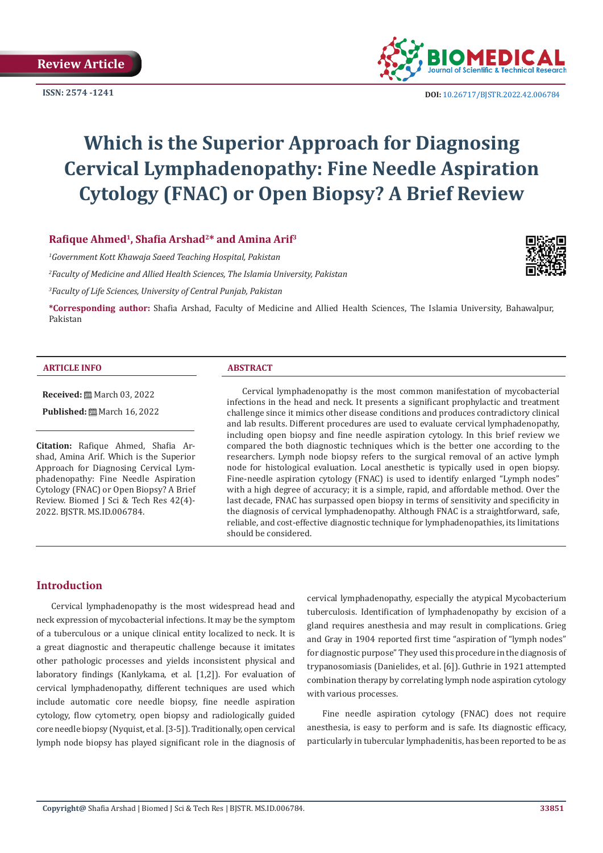

**ISSN:**  $2574 - 1241$  **DOI:** [10.26717/BJSTR.2022.42.006784](https://dx.doi.org/10.26717/BJSTR.2022.42.006784)

# **Which is the Superior Approach for Diagnosing Cervical Lymphadenopathy: Fine Needle Aspiration Cytology (FNAC) or Open Biopsy? A Brief Review**

# **Rafique Ahmed<sup>1</sup>, Shafia Arshad2\* and Amina Arif3**

*1 Government Kott Khawaja Saeed Teaching Hospital, Pakistan*

*2 Faculty of Medicine and Allied Health Sciences, The Islamia University, Pakistan*

*3 Faculty of Life Sciences, University of Central Punjab, Pakistan*

**\*Corresponding author:** Shafia Arshad, Faculty of Medicine and Allied Health Sciences, The Islamia University, Bahawalpur, Pakistan

#### **ARTICLE INFO ABSTRACT**

**Received:** March 03, 2022

**Published:** ■ March 16, 2022

**Citation:** Rafique Ahmed, Shafia Arshad, Amina Arif. Which is the Superior Approach for Diagnosing Cervical Lymphadenopathy: Fine Needle Aspiration Cytology (FNAC) or Open Biopsy? A Brief Review. Biomed J Sci & Tech Res 42(4)- 2022. BJSTR. MS.ID.006784.

Cervical lymphadenopathy is the most common manifestation of mycobacterial infections in the head and neck. It presents a significant prophylactic and treatment challenge since it mimics other disease conditions and produces contradictory clinical and lab results. Different procedures are used to evaluate cervical lymphadenopathy, including open biopsy and fine needle aspiration cytology. In this brief review we compared the both diagnostic techniques which is the better one according to the researchers. Lymph node biopsy refers to the surgical removal of an active lymph node for histological evaluation. Local anesthetic is typically used in open biopsy. Fine-needle aspiration cytology (FNAC) is used to identify enlarged "Lymph nodes" with a high degree of accuracy; it is a simple, rapid, and affordable method. Over the last decade, FNAC has surpassed open biopsy in terms of sensitivity and specificity in the diagnosis of cervical lymphadenopathy. Although FNAC is a straightforward, safe, reliable, and cost-effective diagnostic technique for lymphadenopathies, its limitations should be considered.

## **Introduction**

Cervical lymphadenopathy is the most widespread head and neck expression of mycobacterial infections. It may be the symptom of a tuberculous or a unique clinical entity localized to neck. It is a great diagnostic and therapeutic challenge because it imitates other pathologic processes and yields inconsistent physical and laboratory findings (Kanlykama, et al. [1,2]). For evaluation of cervical lymphadenopathy, different techniques are used which include automatic core needle biopsy, fine needle aspiration cytology, flow cytometry, open biopsy and radiologically guided core needle biopsy (Nyquist, et al. [3-5]). Traditionally, open cervical lymph node biopsy has played significant role in the diagnosis of

cervical lymphadenopathy, especially the atypical Mycobacterium tuberculosis. Identification of lymphadenopathy by excision of a gland requires anesthesia and may result in complications. Grieg and Gray in 1904 reported first time "aspiration of "lymph nodes" for diagnostic purpose" They used this procedure in the diagnosis of trypanosomiasis (Danielides, et al. [6]). Guthrie in 1921 attempted combination therapy by correlating lymph node aspiration cytology with various processes.

Fine needle aspiration cytology (FNAC) does not require anesthesia, is easy to perform and is safe. Its diagnostic efficacy, particularly in tubercular lymphadenitis, has been reported to be as

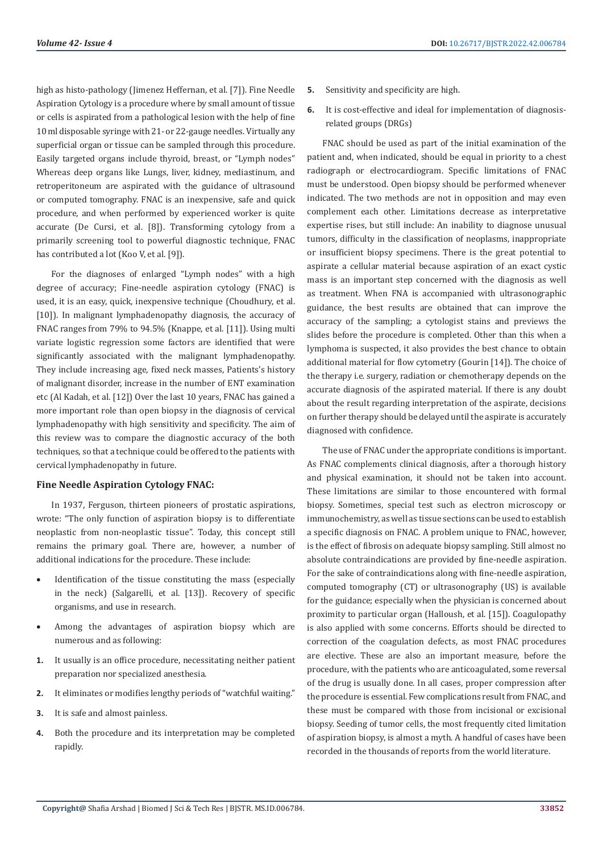high as histo-pathology (Jimenez Heffernan, et al. [7]). Fine Needle Aspiration Cytology is a procedure where by small amount of tissue or cells is aspirated from a pathological lesion with the help of fine 10 ml disposable syringe with 21- or 22-gauge needles. Virtually any superficial organ or tissue can be sampled through this procedure. Easily targeted organs include thyroid, breast, or "Lymph nodes" Whereas deep organs like Lungs, liver, kidney, mediastinum, and retroperitoneum are aspirated with the guidance of ultrasound or computed tomography. FNAC is an inexpensive, safe and quick procedure, and when performed by experienced worker is quite accurate (De Cursi, et al. [8]). Transforming cytology from a primarily screening tool to powerful diagnostic technique, FNAC has contributed a lot (Koo V, et al. [9]).

For the diagnoses of enlarged "Lymph nodes" with a high degree of accuracy; Fine-needle aspiration cytology (FNAC) is used, it is an easy, quick, inexpensive technique (Choudhury, et al. [10]). In malignant lymphadenopathy diagnosis, the accuracy of FNAC ranges from 79% to 94.5% (Knappe, et al. [11]). Using multi variate logistic regression some factors are identified that were significantly associated with the malignant lymphadenopathy. They include increasing age, fixed neck masses, Patients's history of malignant disorder, increase in the number of ENT examination etc (Al Kadah, et al. [12]) Over the last 10 years, FNAC has gained a more important role than open biopsy in the diagnosis of cervical lymphadenopathy with high sensitivity and specificity. The aim of this review was to compare the diagnostic accuracy of the both techniques, so that a technique could be offered to the patients with cervical lymphadenopathy in future.

#### **Fine Needle Aspiration Cytology FNAC:**

In 1937, Ferguson, thirteen pioneers of prostatic aspirations, wrote: "The only function of aspiration biopsy is to differentiate neoplastic from non-neoplastic tissue". Today, this concept still remains the primary goal. There are, however, a number of additional indications for the procedure. These include:

- Identification of the tissue constituting the mass (especially in the neck) (Salgarelli, et al. [13]). Recovery of specific organisms, and use in research.
- Among the advantages of aspiration biopsy which are numerous and as following:
- **1.** It usually is an office procedure, necessitating neither patient preparation nor specialized anesthesia.
- **2.** It eliminates or modifies lengthy periods of "watchful waiting."
- **3.** It is safe and almost painless.
- **4.** Both the procedure and its interpretation may be completed rapidly.
- **5.** Sensitivity and specificity are high.
- **6.** It is cost-effective and ideal for implementation of diagnosisrelated groups (DRGs)

FNAC should be used as part of the initial examination of the patient and, when indicated, should be equal in priority to a chest radiograph or electrocardiogram. Specific limitations of FNAC must be understood. Open biopsy should be performed whenever indicated. The two methods are not in opposition and may even complement each other. Limitations decrease as interpretative expertise rises, but still include: An inability to diagnose unusual tumors, difficulty in the classification of neoplasms, inappropriate or insufficient biopsy specimens. There is the great potential to aspirate a cellular material because aspiration of an exact cystic mass is an important step concerned with the diagnosis as well as treatment. When FNA is accompanied with ultrasonographic guidance, the best results are obtained that can improve the accuracy of the sampling; a cytologist stains and previews the slides before the procedure is completed. Other than this when a lymphoma is suspected, it also provides the best chance to obtain additional material for flow cytometry (Gourin [14]). The choice of the therapy i.e. surgery, radiation or chemotherapy depends on the accurate diagnosis of the aspirated material. If there is any doubt about the result regarding interpretation of the aspirate, decisions on further therapy should be delayed until the aspirate is accurately diagnosed with confidence.

The use of FNAC under the appropriate conditions is important. As FNAC complements clinical diagnosis, after a thorough history and physical examination, it should not be taken into account. These limitations are similar to those encountered with formal biopsy. Sometimes, special test such as electron microscopy or immunochemistry, as well as tissue sections can be used to establish a specific diagnosis on FNAC. A problem unique to FNAC, however, is the effect of fibrosis on adequate biopsy sampling. Still almost no absolute contraindications are provided by fine-needle aspiration. For the sake of contraindications along with fine-needle aspiration, computed tomography (CT) or ultrasonography (US) is available for the guidance; especially when the physician is concerned about proximity to particular organ (Halloush, et al. [15]). Coagulopathy is also applied with some concerns. Efforts should be directed to correction of the coagulation defects, as most FNAC procedures are elective. These are also an important measure, before the procedure, with the patients who are anticoagulated, some reversal of the drug is usually done. In all cases, proper compression after the procedure is essential. Few complications result from FNAC, and these must be compared with those from incisional or excisional biopsy. Seeding of tumor cells, the most frequently cited limitation of aspiration biopsy, is almost a myth. A handful of cases have been recorded in the thousands of reports from the world literature.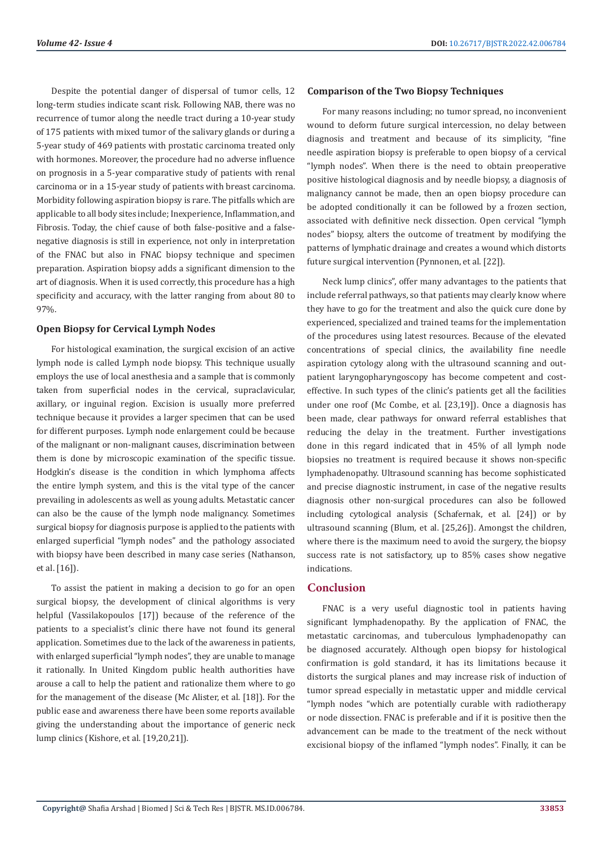Despite the potential danger of dispersal of tumor cells, 12 long-term studies indicate scant risk. Following NAB, there was no recurrence of tumor along the needle tract during a 10-year study of 175 patients with mixed tumor of the salivary glands or during a 5-year study of 469 patients with prostatic carcinoma treated only with hormones. Moreover, the procedure had no adverse influence on prognosis in a 5-year comparative study of patients with renal carcinoma or in a 15-year study of patients with breast carcinoma. Morbidity following aspiration biopsy is rare. The pitfalls which are applicable to all body sites include; Inexperience, Inflammation, and Fibrosis. Today, the chief cause of both false-positive and a falsenegative diagnosis is still in experience, not only in interpretation of the FNAC but also in FNAC biopsy technique and specimen preparation. Aspiration biopsy adds a significant dimension to the art of diagnosis. When it is used correctly, this procedure has a high specificity and accuracy, with the latter ranging from about 80 to 97%.

#### **Open Biopsy for Cervical Lymph Nodes**

For histological examination, the surgical excision of an active lymph node is called Lymph node biopsy. This technique usually employs the use of local anesthesia and a sample that is commonly taken from superficial nodes in the cervical, supraclavicular, axillary, or inguinal region. Excision is usually more preferred technique because it provides a larger specimen that can be used for different purposes. Lymph node enlargement could be because of the malignant or non-malignant causes, discrimination between them is done by microscopic examination of the specific tissue. Hodgkin's disease is the condition in which lymphoma affects the entire lymph system, and this is the vital type of the cancer prevailing in adolescents as well as young adults. Metastatic cancer can also be the cause of the lymph node malignancy. Sometimes surgical biopsy for diagnosis purpose is applied to the patients with enlarged superficial "lymph nodes" and the pathology associated with biopsy have been described in many case series (Nathanson, et al. [16]).

To assist the patient in making a decision to go for an open surgical biopsy, the development of clinical algorithms is very helpful (Vassilakopoulos [17]) because of the reference of the patients to a specialist's clinic there have not found its general application. Sometimes due to the lack of the awareness in patients, with enlarged superficial "lymph nodes", they are unable to manage it rationally. In United Kingdom public health authorities have arouse a call to help the patient and rationalize them where to go for the management of the disease (Mc Alister, et al. [18]). For the public ease and awareness there have been some reports available giving the understanding about the importance of generic neck lump clinics (Kishore, et al. [19,20,21]).

#### **Comparison of the Two Biopsy Techniques**

For many reasons including; no tumor spread, no inconvenient wound to deform future surgical intercession, no delay between diagnosis and treatment and because of its simplicity, "fine needle aspiration biopsy is preferable to open biopsy of a cervical "lymph nodes". When there is the need to obtain preoperative positive histological diagnosis and by needle biopsy, a diagnosis of malignancy cannot be made, then an open biopsy procedure can be adopted conditionally it can be followed by a frozen section, associated with definitive neck dissection. Open cervical "lymph nodes" biopsy, alters the outcome of treatment by modifying the patterns of lymphatic drainage and creates a wound which distorts future surgical intervention (Pynnonen, et al. [22]).

Neck lump clinics", offer many advantages to the patients that include referral pathways, so that patients may clearly know where they have to go for the treatment and also the quick cure done by experienced, specialized and trained teams for the implementation of the procedures using latest resources. Because of the elevated concentrations of special clinics, the availability fine needle aspiration cytology along with the ultrasound scanning and outpatient laryngopharyngoscopy has become competent and costeffective. In such types of the clinic's patients get all the facilities under one roof (Mc Combe, et al. [23,19]). Once a diagnosis has been made, clear pathways for onward referral establishes that reducing the delay in the treatment. Further investigations done in this regard indicated that in 45% of all lymph node biopsies no treatment is required because it shows non-specific lymphadenopathy. Ultrasound scanning has become sophisticated and precise diagnostic instrument, in case of the negative results diagnosis other non-surgical procedures can also be followed including cytological analysis (Schafernak, et al. [24]) or by ultrasound scanning (Blum, et al. [25,26]). Amongst the children, where there is the maximum need to avoid the surgery, the biopsy success rate is not satisfactory, up to 85% cases show negative indications.

#### **Conclusion**

FNAC is a very useful diagnostic tool in patients having significant lymphadenopathy. By the application of FNAC, the metastatic carcinomas, and tuberculous lymphadenopathy can be diagnosed accurately. Although open biopsy for histological confirmation is gold standard, it has its limitations because it distorts the surgical planes and may increase risk of induction of tumor spread especially in metastatic upper and middle cervical "lymph nodes "which are potentially curable with radiotherapy or node dissection. FNAC is preferable and if it is positive then the advancement can be made to the treatment of the neck without excisional biopsy of the inflamed "lymph nodes". Finally, it can be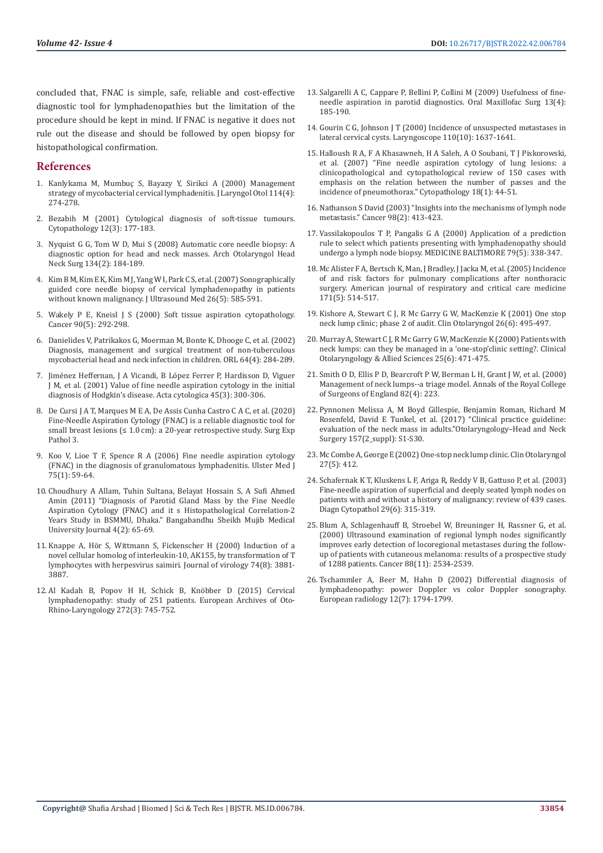concluded that, FNAC is simple, safe, reliable and cost-effective diagnostic tool for lymphadenopathies but the limitation of the procedure should be kept in mind. If FNAC is negative it does not rule out the disease and should be followed by open biopsy for histopathological confirmation.

### **References**

- 1. [Kanlykama M, Mumbuç S, Bayazy Y, Sirikci A \(2000\) Management](https://pubmed.ncbi.nlm.nih.gov/10845042/)  [strategy of mycobacterial cervical lymphadenitis. J Laryngol Otol 114\(4\):](https://pubmed.ncbi.nlm.nih.gov/10845042/)  [274-278.](https://pubmed.ncbi.nlm.nih.gov/10845042/)
- 2. [Bezabih M \(2001\) Cytological diagnosis of soft-tissue tumours.](https://pubmed.ncbi.nlm.nih.gov/11380559/)  [Cytopathology 12\(3\): 177-183.](https://pubmed.ncbi.nlm.nih.gov/11380559/)
- 3. [Nyquist G G, Tom W D, Mui S \(2008\) Automatic core needle biopsy: A](https://pubmed.ncbi.nlm.nih.gov/18283162/)  [diagnostic option for head and neck masses. Arch Otolaryngol Head](https://pubmed.ncbi.nlm.nih.gov/18283162/)  [Neck Surg 134\(2\): 184-189.](https://pubmed.ncbi.nlm.nih.gov/18283162/)
- 4. Kim B M, Kim E K, Kim M J, Yang W I, Park C S, et al. (2007) Sonographically guided core needle biopsy of cervical lymphadenopathy in patients without known malignancy. J Ultrasound Med 26(5): 585-591.
- 5. Wakely P E, Kneisl J S (2000) Soft tissue aspiration cytopathology. Cancer 90(5): 292-298.
- 6. [Danielides V, Patrikakos G, Moerman M, Bonte K, Dhooge C, et al. \(2002\)](https://pubmed.ncbi.nlm.nih.gov/12232477/)  [Diagnosis, management and surgical treatment of non-tuberculous](https://pubmed.ncbi.nlm.nih.gov/12232477/)  [mycobacterial head and neck infection in children. ORL 64\(4\): 284-289.](https://pubmed.ncbi.nlm.nih.gov/12232477/)
- 7. [Jiménez Heffernan, J A Vicandi, B López Ferrer P, Hardisson D, Viguer](https://pubmed.ncbi.nlm.nih.gov/11393058/)  [J M, et al. \(2001\) Value of fine needle aspiration cytology in the initial](https://pubmed.ncbi.nlm.nih.gov/11393058/)  [diagnosis of Hodgkin's disease. Acta cytologica 45\(3\): 300-306.](https://pubmed.ncbi.nlm.nih.gov/11393058/)
- 8. De Cursi J A T, Marques M E A, De Assis Cunha Castro C A C, et al. (2020) Fine-Needle Aspiration Cytology (FNAC) is a reliable diagnostic tool for small breast lesions (≤ 1.0 cm): a 20-year retrospective study. Surg Exp Pathol 3.
- 9. [Koo V, Lioe T F, Spence R A \(2006\) Fine needle aspiration cytology](https://pubmed.ncbi.nlm.nih.gov/16457406/)  [\(FNAC\) in the diagnosis of granulomatous lymphadenitis. Ulster Med J](https://pubmed.ncbi.nlm.nih.gov/16457406/)  [75\(1\): 59-64.](https://pubmed.ncbi.nlm.nih.gov/16457406/)
- 10. [Choudhury A Allam, Tuhin Sultana, Belayat Hossain S, A Sufi Ahmed](https://www.banglajol.info/index.php/BSMMUJ/article/view/8632)  [Amin \(2011\) "Diagnosis of Parotid Gland Mass by the Fine Needle](https://www.banglajol.info/index.php/BSMMUJ/article/view/8632)  [Aspiration Cytology \(FNAC\) and it s Histopathological Correlation-2](https://www.banglajol.info/index.php/BSMMUJ/article/view/8632)  [Years Study in BSMMU, Dhaka." Bangabandhu Sheikh Mujib Medical](https://www.banglajol.info/index.php/BSMMUJ/article/view/8632)  [University Journal 4\(2\): 65-69.](https://www.banglajol.info/index.php/BSMMUJ/article/view/8632)
- 11. [Knappe A, Hör S, Wittmann S, Fickenscher H \(2000\) Induction of a](https://pubmed.ncbi.nlm.nih.gov/10729163/)  [novel cellular homolog of interleukin-10, AK155, by transformation of T](https://pubmed.ncbi.nlm.nih.gov/10729163/)  [lymphocytes with herpesvirus saimiri. Journal of virology 74\(8\): 3881-](https://pubmed.ncbi.nlm.nih.gov/10729163/) [3887.](https://pubmed.ncbi.nlm.nih.gov/10729163/)
- 12. [Al Kadah B, Popov H H, Schick B, Knöbber D \(2015\) Cervical](https://pubmed.ncbi.nlm.nih.gov/25294051/)  [lymphadenopathy: study of 251 patients. European Archives of Oto-](https://pubmed.ncbi.nlm.nih.gov/25294051/)[Rhino-Laryngology 272\(3\): 745-752.](https://pubmed.ncbi.nlm.nih.gov/25294051/)
- 13. Salgarelli A C, Cappare P, Bellini P, Collini M (2009) Usefulness of fineneedle aspiration in parotid diagnostics. Oral Maxillofac Surg 13(4): 185-190.
- 14. [Gourin C G, Johnson J T \(2000\) Incidence of unsuspected metastases in](https://pubmed.ncbi.nlm.nih.gov/11037817/) [lateral cervical cysts. Laryngoscope 110\(10\): 1637-1641.](https://pubmed.ncbi.nlm.nih.gov/11037817/)
- 15. [Halloush R A, F A Khasawneh, H A Saleh, A O Soubani, T J Piskorowski,](https://pubmed.ncbi.nlm.nih.gov/17250603/) [et al. \(2007\) "Fine needle aspiration cytology of lung lesions: a](https://pubmed.ncbi.nlm.nih.gov/17250603/) [clinicopathological and cytopathological review of 150 cases with](https://pubmed.ncbi.nlm.nih.gov/17250603/) [emphasis on the relation between the number of passes and the](https://pubmed.ncbi.nlm.nih.gov/17250603/) [incidence of pneumothorax." Cytopathology 18\(1\): 44-51.](https://pubmed.ncbi.nlm.nih.gov/17250603/)
- 16. [Nathanson S David \(2003\) "Insights into the mechanisms of lymph node](https://pubmed.ncbi.nlm.nih.gov/12872364/) [metastasis." Cancer 98\(2\): 413-423.](https://pubmed.ncbi.nlm.nih.gov/12872364/)
- 17. Vassilakopoulos T P, Pangalis G A (2000) Application of a prediction rule to select which patients presenting with lymphadenopathy should undergo a lymph node biopsy. MEDICINE BALTIMORE 79(5): 338-347.
- 18. [Mc Alister F A, Bertsch K, Man, J Bradley, J Jacka M, et al. \(2005\) Incidence](https://pubmed.ncbi.nlm.nih.gov/15563632/) [of and risk factors for pulmonary complications after nonthoracic](https://pubmed.ncbi.nlm.nih.gov/15563632/) [surgery. American journal of respiratory and critical care medicine](https://pubmed.ncbi.nlm.nih.gov/15563632/) [171\(5\): 514-517.](https://pubmed.ncbi.nlm.nih.gov/15563632/)
- 19. [Kishore A, Stewart C J, R Mc Garry G W, MacKenzie K \(2001\) One stop](https://pubmed.ncbi.nlm.nih.gov/11843931/) [neck lump clinic; phase 2 of audit. Clin Otolaryngol 26\(6\): 495-497.](https://pubmed.ncbi.nlm.nih.gov/11843931/)
- 20. [Murray A, Stewart C J, R Mc Garry G W, MacKenzie K \(2000\) Patients with](https://pubmed.ncbi.nlm.nih.gov/11122282/) [neck lumps: can they be managed in a 'one‐stop'clinic setting?. Clinical](https://pubmed.ncbi.nlm.nih.gov/11122282/) [Otolaryngology & Allied Sciences 25\(6\): 471-475.](https://pubmed.ncbi.nlm.nih.gov/11122282/)
- 21. Smith O D, Ellis P D, Bearcroft P W, Berman L H, Grant J W, et al. (2000) Management of neck lumps--a triage model. Annals of the Royal College of Surgeons of England 82(4): 223.
- 22. [Pynnonen Melissa A, M Boyd Gillespie, Benjamin Roman, Richard M](https://pubmed.ncbi.nlm.nih.gov/28891406/) [Rosenfeld, David E Tunkel, et al. \(2017\) "Clinical practice guideline:](https://pubmed.ncbi.nlm.nih.gov/28891406/) [evaluation of the neck mass in adults."Otolaryngology–Head and Neck](https://pubmed.ncbi.nlm.nih.gov/28891406/) [Surgery 157\(2\\_suppl\): S1-S30.](https://pubmed.ncbi.nlm.nih.gov/28891406/)
- 23. [Mc Combe A, George E \(2002\) One-stop neck lump clinic. Clin Otolaryngol](https://pubmed.ncbi.nlm.nih.gov/12383308/) [27\(5\): 412.](https://pubmed.ncbi.nlm.nih.gov/12383308/)
- 24. [Schafernak K T, Kluskens L F, Ariga R, Reddy V B, Gattuso P, et al. \(2003\)](https://pubmed.ncbi.nlm.nih.gov/14648787/) [Fine-needle aspiration of superficial and deeply seated lymph nodes on](https://pubmed.ncbi.nlm.nih.gov/14648787/) [patients with and without a history of malignancy: review of 439 cases.](https://pubmed.ncbi.nlm.nih.gov/14648787/) [Diagn Cytopathol 29\(6\): 315-319.](https://pubmed.ncbi.nlm.nih.gov/14648787/)
- 25. [Blum A, Schlagenhauff B, Stroebel W, Breuninger H, Rassner G, et al.](https://pubmed.ncbi.nlm.nih.gov/10861430/) [\(2000\) Ultrasound examination of regional lymph nodes significantly](https://pubmed.ncbi.nlm.nih.gov/10861430/) [improves early detection of locoregional metastases during the follow](https://pubmed.ncbi.nlm.nih.gov/10861430/)[up of patients with cutaneous melanoma: results of a prospective study](https://pubmed.ncbi.nlm.nih.gov/10861430/) [of 1288 patients. Cancer 88\(11\): 2534-2539.](https://pubmed.ncbi.nlm.nih.gov/10861430/)
- 26. [Tschammler A, Beer M, Hahn D \(2002\) Differential diagnosis of](https://pubmed.ncbi.nlm.nih.gov/12111071/) [lymphadenopathy: power Doppler vs color Doppler sonography.](https://pubmed.ncbi.nlm.nih.gov/12111071/) [European radiology 12\(7\): 1794-1799.](https://pubmed.ncbi.nlm.nih.gov/12111071/)